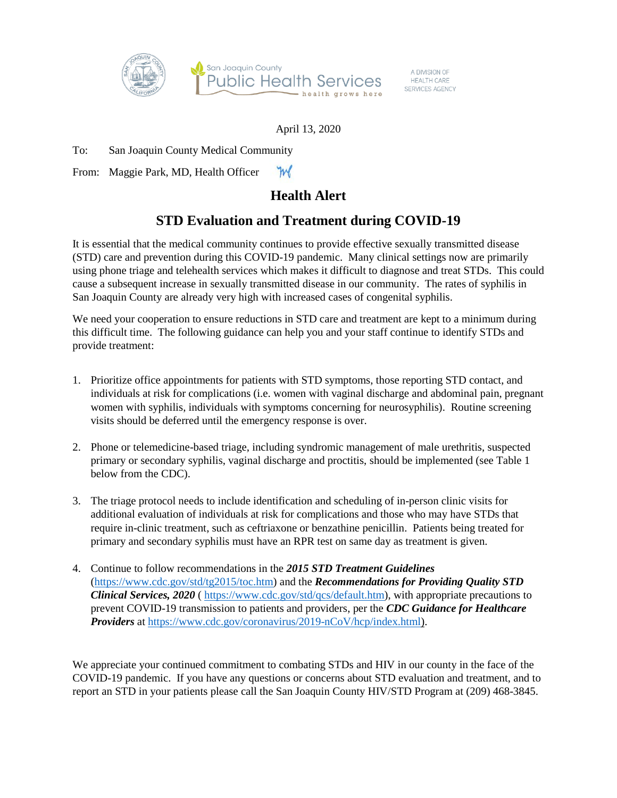

A DIVISION OF **HEALTH CARE** SERVICES AGENCY

## April 13, 2020

To: San Joaquin County Medical Community

From: Maggie Park, MD, Health Officer

## **Health Alert**

## **STD Evaluation and Treatment during COVID-19**

It is essential that the medical community continues to provide effective sexually transmitted disease (STD) care and prevention during this COVID-19 pandemic. Many clinical settings now are primarily using phone triage and telehealth services which makes it difficult to diagnose and treat STDs. This could cause a subsequent increase in sexually transmitted disease in our community. The rates of syphilis in San Joaquin County are already very high with increased cases of congenital syphilis.

We need your cooperation to ensure reductions in STD care and treatment are kept to a minimum during this difficult time. The following guidance can help you and your staff continue to identify STDs and provide treatment:

- 1. Prioritize office appointments for patients with STD symptoms, those reporting STD contact, and individuals at risk for complications (i.e. women with vaginal discharge and abdominal pain, pregnant women with syphilis, individuals with symptoms concerning for neurosyphilis). Routine screening visits should be deferred until the emergency response is over.
- 2. Phone or telemedicine-based triage, including syndromic management of male urethritis, suspected primary or secondary syphilis, vaginal discharge and proctitis, should be implemented (see Table 1 below from the CDC).
- 3. The triage protocol needs to include identification and scheduling of in-person clinic visits for additional evaluation of individuals at risk for complications and those who may have STDs that require in-clinic treatment, such as ceftriaxone or benzathine penicillin. Patients being treated for primary and secondary syphilis must have an RPR test on same day as treatment is given.
- 4. Continue to follow recommendations in the *2015 STD Treatment Guidelines* [\(https://www.cdc.gov/std/tg2015/toc.htm\)](https://www.cdc.gov/std/tg2015/toc.htm) and the *Recommendations for Providing Quality STD Clinical Services, 2020* [\( https://www.cdc.gov/std/qcs/default.htm\)](https://www.cdc.gov/std/qcs/default.htm), with appropriate precautions to prevent COVID-19 transmission to patients and providers, per the *CDC Guidance for Healthcare Providers* at [https://www.cdc.gov/coronavirus/2019-nCoV/hcp/index.html\)](https://www.cdc.gov/coronavirus/2019-nCoV/hcp/index.html).

We appreciate your continued commitment to combating STDs and HIV in our county in the face of the COVID-19 pandemic. If you have any questions or concerns about STD evaluation and treatment, and to report an STD in your patients please call the San Joaquin County HIV/STD Program at (209) 468-3845.